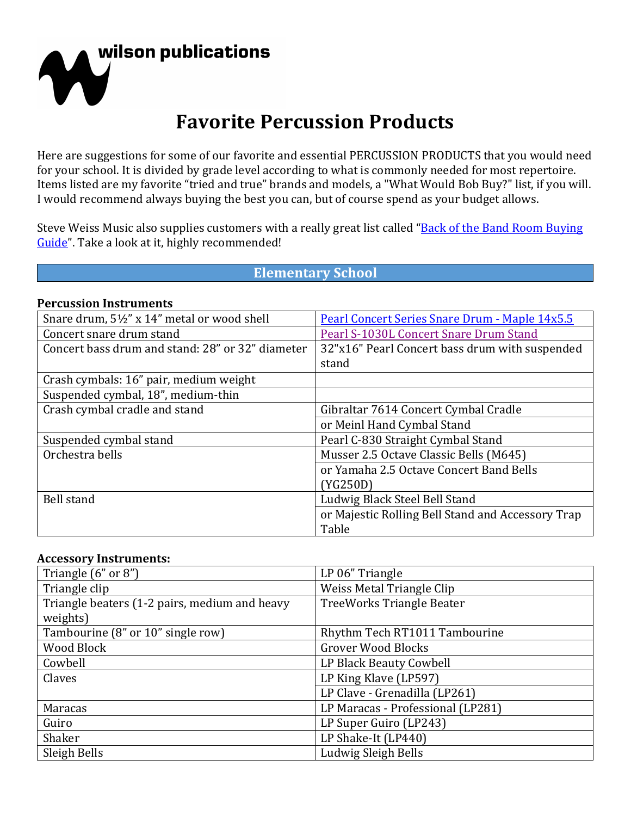

# **Favorite Percussion Products**

Here are suggestions for some of our favorite and essential PERCUSSION PRODUCTS that you would need for your school. It is divided by grade level according to what is commonly needed for most repertoire. Items listed are my favorite "tried and true" brands and models, a "What Would Bob Buy?" list, if you will. I would recommend always buying the best you can, but of course spend as your budget allows.

Steve Weiss Music also supplies customers with a really great list called "Back of the Band Room Buying Guide". Take a look at it, highly recommended!

#### **Elementary School**

#### **Percussion Instruments**

| Snare drum, 5½" x 14" metal or wood shell        | Pearl Concert Series Snare Drum - Maple 14x5.5    |
|--------------------------------------------------|---------------------------------------------------|
| Concert snare drum stand                         | Pearl S-1030L Concert Snare Drum Stand            |
| Concert bass drum and stand: 28" or 32" diameter | 32"x16" Pearl Concert bass drum with suspended    |
|                                                  | stand                                             |
| Crash cymbals: 16" pair, medium weight           |                                                   |
| Suspended cymbal, 18", medium-thin               |                                                   |
| Crash cymbal cradle and stand                    | Gibraltar 7614 Concert Cymbal Cradle              |
|                                                  | or Meinl Hand Cymbal Stand                        |
| Suspended cymbal stand                           | Pearl C-830 Straight Cymbal Stand                 |
| Orchestra bells                                  | Musser 2.5 Octave Classic Bells (M645)            |
|                                                  | or Yamaha 2.5 Octave Concert Band Bells           |
|                                                  | (YG250D)                                          |
| <b>Bell stand</b>                                | Ludwig Black Steel Bell Stand                     |
|                                                  | or Majestic Rolling Bell Stand and Accessory Trap |
|                                                  | Table                                             |

#### **Accessory Instruments:**

| Triangle $(6"$ or $8"$ )                      | LP 06" Triangle                   |
|-----------------------------------------------|-----------------------------------|
| Triangle clip                                 | Weiss Metal Triangle Clip         |
| Triangle beaters (1-2 pairs, medium and heavy | TreeWorks Triangle Beater         |
| weights)                                      |                                   |
| Tambourine (8" or 10" single row)             | Rhythm Tech RT1011 Tambourine     |
| Wood Block                                    | <b>Grover Wood Blocks</b>         |
| Cowbell                                       | LP Black Beauty Cowbell           |
| Claves                                        | LP King Klave (LP597)             |
|                                               | LP Clave - Grenadilla (LP261)     |
| Maracas                                       | LP Maracas - Professional (LP281) |
| Guiro                                         | LP Super Guiro (LP243)            |
| Shaker                                        | LP Shake-It (LP440)               |
| Sleigh Bells                                  | Ludwig Sleigh Bells               |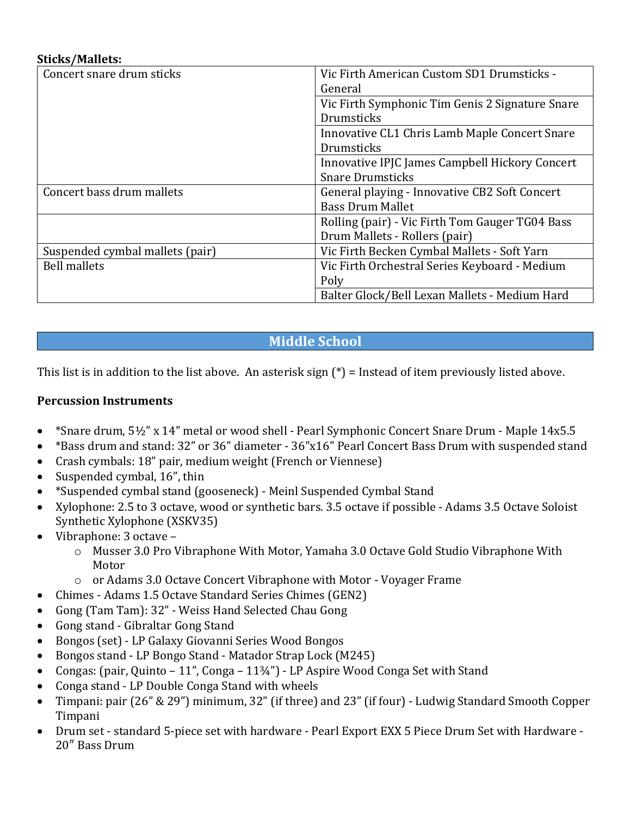#### **Sticks/Mallets:**

| Concert snare drum sticks       | Vic Firth American Custom SD1 Drumsticks -      |
|---------------------------------|-------------------------------------------------|
|                                 | General                                         |
|                                 | Vic Firth Symphonic Tim Genis 2 Signature Snare |
|                                 | Drumsticks                                      |
|                                 | Innovative CL1 Chris Lamb Maple Concert Snare   |
|                                 | Drumsticks                                      |
|                                 | Innovative IPJC James Campbell Hickory Concert  |
|                                 | <b>Snare Drumsticks</b>                         |
| Concert bass drum mallets       | General playing - Innovative CB2 Soft Concert   |
|                                 | <b>Bass Drum Mallet</b>                         |
|                                 | Rolling (pair) - Vic Firth Tom Gauger TG04 Bass |
|                                 | Drum Mallets - Rollers (pair)                   |
| Suspended cymbal mallets (pair) | Vic Firth Becken Cymbal Mallets - Soft Yarn     |
| <b>Bell mallets</b>             | Vic Firth Orchestral Series Keyboard - Medium   |
|                                 | Poly                                            |
|                                 | Balter Glock/Bell Lexan Mallets - Medium Hard   |

# **Middle School**

This list is in addition to the list above. An asterisk sign  $(*)$  = Instead of item previously listed above.

#### **Percussion Instruments**

- \*Snare drum, 5½" x 14" metal or wood shell Pearl Symphonic Concert Snare Drum Maple 14x5.5
- \*Bass drum and stand: 32" or 36" diameter 36"x16" Pearl Concert Bass Drum with suspended stand
- Crash cymbals: 18" pair, medium weight (French or Viennese)
- Suspended cymbal,  $16$ ", thin
- \*Suspended cymbal stand (gooseneck) Meinl Suspended Cymbal Stand
- Xylophone: 2.5 to 3 octave, wood or synthetic bars. 3.5 octave if possible Adams 3.5 Octave Soloist Synthetic Xylophone (XSKV35)
- Vibraphone: 3 octave
	- $\circ$  Musser 3.0 Pro Vibraphone With Motor, Yamaha 3.0 Octave Gold Studio Vibraphone With Motor
	- $\circ$  or Adams 3.0 Octave Concert Vibraphone with Motor Voyager Frame
- Chimes Adams 1.5 Octave Standard Series Chimes (GEN2)
- Gong (Tam Tam): 32" Weiss Hand Selected Chau Gong
- Gong stand Gibraltar Gong Stand
- Bongos (set) LP Galaxy Giovanni Series Wood Bongos
- Bongos stand LP Bongo Stand Matador Strap Lock (M245)
- Congas: (pair, Quinto  $-11$ ", Conga  $-11\frac{3}{4}$ ") LP Aspire Wood Conga Set with Stand
- Conga stand LP Double Conga Stand with wheels
- Timpani: pair (26" & 29") minimum, 32" (if three) and 23" (if four) Ludwig Standard Smooth Copper Timpani
- Drum set standard 5-piece set with hardware Pearl Export EXX 5 Piece Drum Set with Hardware -20″ Bass Drum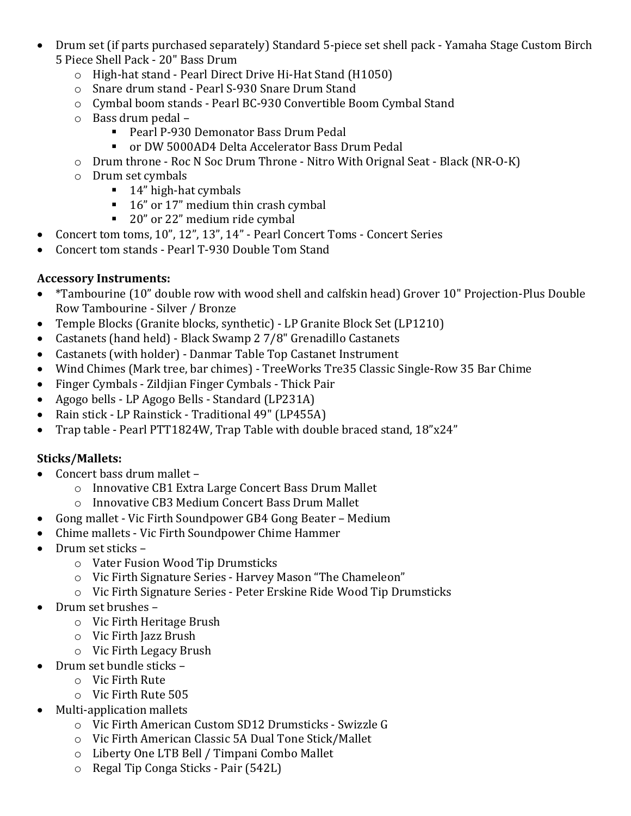- Drum set (if parts purchased separately) Standard 5-piece set shell pack Yamaha Stage Custom Birch 5 Piece Shell Pack - 20" Bass Drum
	- $\circ$  High-hat stand Pearl Direct Drive Hi-Hat Stand (H1050)
	- $\circ$  Snare drum stand Pearl S-930 Snare Drum Stand
	- $\circ$  Cymbal boom stands Pearl BC-930 Convertible Boom Cymbal Stand
	- $\circ$  Bass drum pedal
		- Pearl P-930 Demonator Bass Drum Pedal
		- or DW 5000AD4 Delta Accelerator Bass Drum Pedal
	- o Drum throne Roc N Soc Drum Throne Nitro With Orignal Seat Black (NR-O-K)
	- $\circ$  Drum set cymbals
		- $\blacksquare$  14" high-hat cymbals
		- 16" or 17" medium thin crash cymbal
		- 20" or 22" medium ride cymbal
- Concert tom toms, 10", 12", 13", 14" Pearl Concert Toms Concert Series
- Concert tom stands Pearl T-930 Double Tom Stand

# **Accessory Instruments:**

- \*Tambourine (10" double row with wood shell and calfskin head) Grover 10" Projection-Plus Double Row Tambourine - Silver / Bronze
- Temple Blocks (Granite blocks, synthetic) LP Granite Block Set (LP1210)
- Castanets (hand held) Black Swamp  $27/8$ " Grenadillo Castanets
- Castanets (with holder) Danmar Table Top Castanet Instrument
- Wind Chimes (Mark tree, bar chimes) TreeWorks Tre35 Classic Single-Row 35 Bar Chime
- Finger Cymbals Zildjian Finger Cymbals Thick Pair
- Agogo bells LP Agogo Bells Standard (LP231A)
- Rain stick LP Rainstick Traditional 49" (LP455A)
- Trap table Pearl PTT1824W, Trap Table with double braced stand, 18"x24"

# **Sticks/Mallets:**

- Concert bass drum mallet -
	- $\circ$  Innovative CB1 Extra Large Concert Bass Drum Mallet
	- o Innovative CB3 Medium Concert Bass Drum Mallet
- Gong mallet Vic Firth Soundpower GB4 Gong Beater Medium
- Chime mallets Vic Firth Soundpower Chime Hammer
- Drum set sticks
	- $\circ$  Vater Fusion Wood Tip Drumsticks
	- $\circ$  Vic Firth Signature Series Harvey Mason "The Chameleon"
	- $\circ$  Vic Firth Signature Series Peter Erskine Ride Wood Tip Drumsticks
- Drum set brushes -
	- $\circ$  Vic Firth Heritage Brush
	- $\circ$  Vic Firth Jazz Brush
	- $\circ$  Vic Firth Legacy Brush
- Drum set bundle sticks
	- $\circ$  Vic Firth Rute
	- $\circ$  Vic Firth Rute 505
- Multi-application mallets
	- o Vic Firth American Custom SD12 Drumsticks Swizzle G
	- $\circ$  Vic Firth American Classic 5A Dual Tone Stick/Mallet
	- $\circ$  Liberty One LTB Bell / Timpani Combo Mallet
	- $\circ$  Regal Tip Conga Sticks Pair (542L)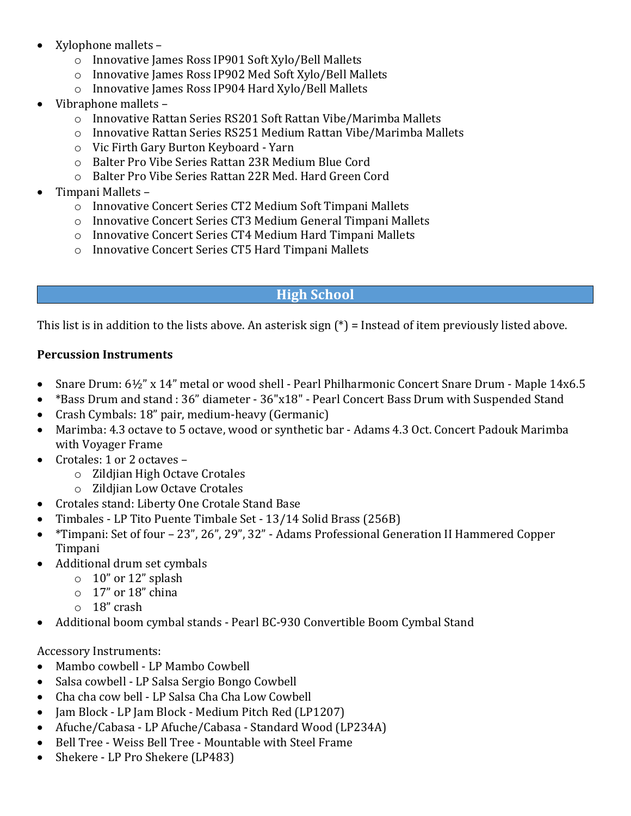- Xylophone mallets
	- o Innovative James Ross IP901 Soft Xylo/Bell Mallets
	- o Innovative James Ross IP902 Med Soft Xylo/Bell Mallets
	- o Innovative James Ross IP904 Hard Xylo/Bell Mallets
- $\bullet$  Vibraphone mallets
	- o Innovative Rattan Series RS201 Soft Rattan Vibe/Marimba Mallets
	- $\circ$  Innovative Rattan Series RS251 Medium Rattan Vibe/Marimba Mallets
	- o Vic Firth Gary Burton Keyboard Yarn
	- o Balter Pro Vibe Series Rattan 23R Medium Blue Cord
	- o Balter Pro Vibe Series Rattan 22R Med. Hard Green Cord
- Timpani Mallets
	- o Innovative Concert Series CT2 Medium Soft Timpani Mallets
	- o Innovative Concert Series CT3 Medium General Timpani Mallets
	- $\circ$  Innovative Concert Series CT4 Medium Hard Timpani Mallets
	- o Innovative Concert Series CT5 Hard Timpani Mallets

# **High School**

This list is in addition to the lists above. An asterisk sign  $(*)$  = Instead of item previously listed above.

## **Percussion Instruments**

- Snare Drum:  $6\frac{1}{2}$ " x 14" metal or wood shell Pearl Philharmonic Concert Snare Drum Maple 14x6.5
- \*Bass Drum and stand : 36" diameter 36"x18" Pearl Concert Bass Drum with Suspended Stand
- Crash Cymbals: 18" pair, medium-heavy (Germanic)
- Marimba: 4.3 octave to 5 octave, wood or synthetic bar Adams 4.3 Oct. Concert Padouk Marimba with Voyager Frame
- Crotales: 1 or 2 octaves
	- o Zildjian High Octave Crotales
	- o Zildiian Low Octave Crotales
- Crotales stand: Liberty One Crotale Stand Base
- Timbales LP Tito Puente Timbale Set 13/14 Solid Brass (256B)
- \*Timpani: Set of four 23", 26", 29", 32" Adams Professional Generation II Hammered Copper Timpani
- Additional drum set cymbals
	- $\circ$  10" or 12" splash
	- $\circ$  17" or 18" china
	- $\circ$  18" crash
- Additional boom cymbal stands Pearl BC-930 Convertible Boom Cymbal Stand

## Accessory Instruments:

- Mambo cowbell LP Mambo Cowbell
- Salsa cowbell LP Salsa Sergio Bongo Cowbell
- Cha cha cow bell LP Salsa Cha Cha Low Cowbell
- Jam Block LP Jam Block Medium Pitch Red (LP1207)
- Afuche/Cabasa LP Afuche/Cabasa Standard Wood (LP234A)
- Bell Tree Weiss Bell Tree Mountable with Steel Frame
- Shekere LP Pro Shekere (LP483)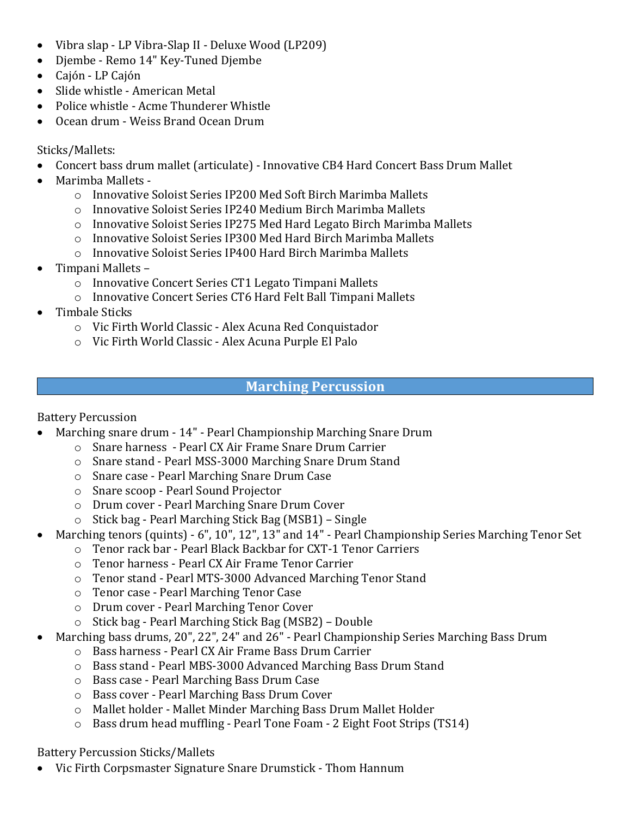- Vibra slap LP Vibra-Slap II Deluxe Wood (LP209)
- Djembe Remo 14" Key-Tuned Djembe
- Cajón LP Cajón
- Slide whistle American Metal
- Police whistle Acme Thunderer Whistle
- Ocean drum Weiss Brand Ocean Drum

## Sticks/Mallets:

- Concert bass drum mallet (articulate) Innovative CB4 Hard Concert Bass Drum Mallet
- Marimba Mallets
	- o Innovative Soloist Series IP200 Med Soft Birch Marimba Mallets
	- $\circ$  Innovative Soloist Series IP240 Medium Birch Marimba Mallets
	- $\circ$  Innovative Soloist Series IP275 Med Hard Legato Birch Marimba Mallets
	- o Innovative Soloist Series IP300 Med Hard Birch Marimba Mallets
	- $\circ$  Innovative Soloist Series IP400 Hard Birch Marimba Mallets
- Timpani Mallets
	- $\circ$  Innovative Concert Series CT1 Legato Timpani Mallets
	- o Innovative Concert Series CT6 Hard Felt Ball Timpani Mallets
- Timbale Sticks
	- $\circ$  Vic Firth World Classic Alex Acuna Red Conquistador
	- $\circ$  Vic Firth World Classic Alex Acuna Purple El Palo

# **Marching Percussion**

## Battery Percussion

- Marching snare drum 14" Pearl Championship Marching Snare Drum
	- o Snare harness Pearl CX Air Frame Snare Drum Carrier
	- $\circ$  Snare stand Pearl MSS-3000 Marching Snare Drum Stand
	- o Snare case Pearl Marching Snare Drum Case
	- $\circ$  Snare scoop Pearl Sound Projector
	- o Drum cover Pearl Marching Snare Drum Cover
	- $\circ$  Stick bag Pearl Marching Stick Bag (MSB1) Single
- Marching tenors (quints) 6", 10", 12", 13" and 14" Pearl Championship Series Marching Tenor Set
	- $\circ$  Tenor rack bar Pearl Black Backbar for CXT-1 Tenor Carriers
	- $\circ$  Tenor harness Pearl CX Air Frame Tenor Carrier
	- $\circ$  Tenor stand Pearl MTS-3000 Advanced Marching Tenor Stand
	- $\circ$  Tenor case Pearl Marching Tenor Case
	- o Drum cover Pearl Marching Tenor Cover
	- o Stick bag Pearl Marching Stick Bag (MSB2) Double
- Marching bass drums, 20", 22", 24" and 26" Pearl Championship Series Marching Bass Drum
	- $\circ$  Bass harness Pearl CX Air Frame Bass Drum Carrier
	- $\circ$  Bass stand Pearl MBS-3000 Advanced Marching Bass Drum Stand
	- $\circ$  Bass case Pearl Marching Bass Drum Case
	- $\circ$  Bass cover Pearl Marching Bass Drum Cover
	- $\circ$  Mallet holder Mallet Minder Marching Bass Drum Mallet Holder
	- $\circ$  Bass drum head muffling Pearl Tone Foam 2 Eight Foot Strips (TS14)

## Battery Percussion Sticks/Mallets

• Vic Firth Corpsmaster Signature Snare Drumstick - Thom Hannum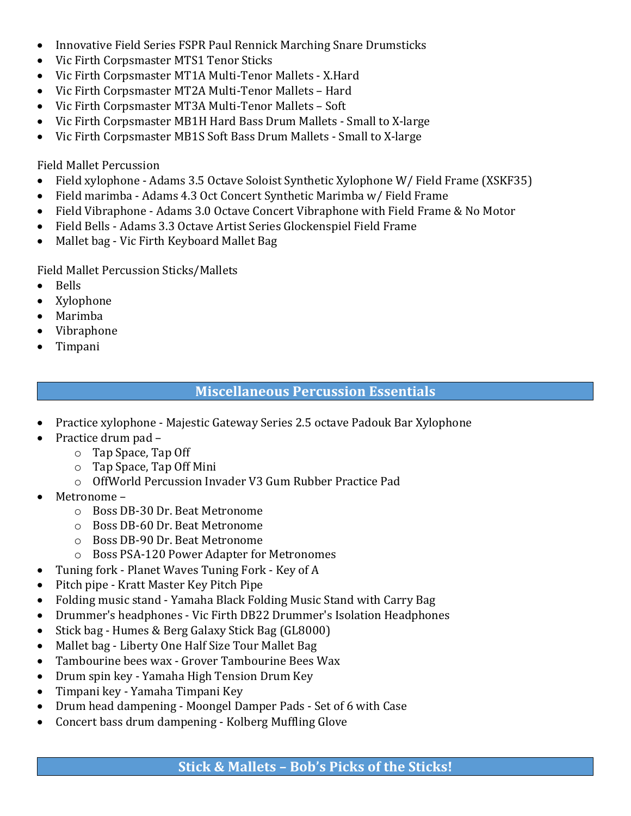- Innovative Field Series FSPR Paul Rennick Marching Snare Drumsticks
- Vic Firth Corpsmaster MTS1 Tenor Sticks
- Vic Firth Corpsmaster MT1A Multi-Tenor Mallets X.Hard
- Vic Firth Corpsmaster MT2A Multi-Tenor Mallets Hard
- Vic Firth Corpsmaster MT3A Multi-Tenor Mallets Soft
- Vic Firth Corpsmaster MB1H Hard Bass Drum Mallets Small to X-large
- Vic Firth Corpsmaster MB1S Soft Bass Drum Mallets Small to X-large

# Field Mallet Percussion

- Field xylophone Adams 3.5 Octave Soloist Synthetic Xylophone W/ Field Frame (XSKF35)
- Field marimba Adams 4.3 Oct Concert Synthetic Marimba w/ Field Frame
- Field Vibraphone Adams 3.0 Octave Concert Vibraphone with Field Frame & No Motor
- Field Bells Adams 3.3 Octave Artist Series Glockenspiel Field Frame
- Mallet bag Vic Firth Keyboard Mallet Bag

Field Mallet Percussion Sticks/Mallets

- Bells
- Xylophone
- Marimba
- Vibraphone
- Timpani

# **Miscellaneous Percussion Essentials**

- Practice xylophone Majestic Gateway Series 2.5 octave Padouk Bar Xylophone
- Practice drum pad
	- $\circ$  Tap Space, Tap Off
	- $\circ$  Tap Space, Tap Off Mini
	- o OffWorld Percussion Invader V3 Gum Rubber Practice Pad
- Metronome
	- o Boss DB-30 Dr. Beat Metronome
	- o Boss DB-60 Dr. Beat Metronome
	- o Boss DB-90 Dr. Beat Metronome
	- o Boss PSA-120 Power Adapter for Metronomes
- Tuning fork Planet Waves Tuning Fork Key of A
- Pitch pipe Kratt Master Key Pitch Pipe
- Folding music stand Yamaha Black Folding Music Stand with Carry Bag
- Drummer's headphones Vic Firth DB22 Drummer's Isolation Headphones
- Stick bag Humes & Berg Galaxy Stick Bag (GL8000)
- Mallet bag Liberty One Half Size Tour Mallet Bag
- Tambourine bees wax Grover Tambourine Bees Wax
- Drum spin key Yamaha High Tension Drum Key
- Timpani key Yamaha Timpani Key
- Drum head dampening Moongel Damper Pads Set of 6 with Case
- Concert bass drum dampening Kolberg Muffling Glove